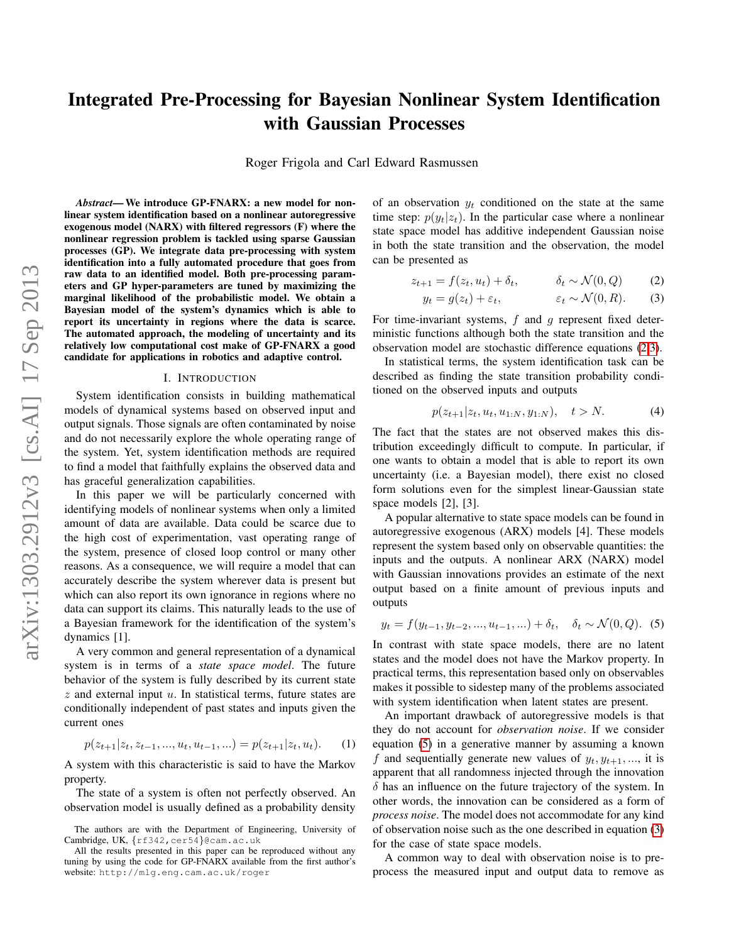# Integrated Pre-Processing for Bayesian Nonlinear System Identification with Gaussian Processes

Roger Frigola and Carl Edward Rasmussen

*Abstract*— We introduce GP-FNARX: a new model for nonlinear system identification based on a nonlinear autoregressive exogenous model (NARX) with filtered regressors (F) where the nonlinear regression problem is tackled using sparse Gaussian processes (GP). We integrate data pre-processing with system identification into a fully automated procedure that goes from raw data to an identified model. Both pre-processing parameters and GP hyper-parameters are tuned by maximizing the marginal likelihood of the probabilistic model. We obtain a Bayesian model of the system's dynamics which is able to report its uncertainty in regions where the data is scarce. The automated approach, the modeling of uncertainty and its relatively low computational cost make of GP-FNARX a good candidate for applications in robotics and adaptive control.

#### I. INTRODUCTION

System identification consists in building mathematical models of dynamical systems based on observed input and output signals. Those signals are often contaminated by noise and do not necessarily explore the whole operating range of the system. Yet, system identification methods are required to find a model that faithfully explains the observed data and has graceful generalization capabilities.

In this paper we will be particularly concerned with identifying models of nonlinear systems when only a limited amount of data are available. Data could be scarce due to the high cost of experimentation, vast operating range of the system, presence of closed loop control or many other reasons. As a consequence, we will require a model that can accurately describe the system wherever data is present but which can also report its own ignorance in regions where no data can support its claims. This naturally leads to the use of a Bayesian framework for the identification of the system's dynamics [1].

A very common and general representation of a dynamical system is in terms of a *state space model*. The future behavior of the system is fully described by its current state  $z$  and external input  $u$ . In statistical terms, future states are conditionally independent of past states and inputs given the current ones

$$
p(z_{t+1}|z_t, z_{t-1}, ..., u_t, u_{t-1}, ...) = p(z_{t+1}|z_t, u_t). \tag{1}
$$

A system with this characteristic is said to have the Markov property.

The state of a system is often not perfectly observed. An observation model is usually defined as a probability density of an observation  $y_t$  conditioned on the state at the same time step:  $p(y_t|z_t)$ . In the particular case where a nonlinear state space model has additive independent Gaussian noise in both the state transition and the observation, the model can be presented as

$$
z_{t+1} = f(z_t, u_t) + \delta_t, \qquad \delta_t \sim \mathcal{N}(0, Q) \qquad (2)
$$

<span id="page-0-1"></span><span id="page-0-0"></span>
$$
y_t = g(z_t) + \varepsilon_t, \qquad \varepsilon_t \sim \mathcal{N}(0, R). \tag{3}
$$

For time-invariant systems,  $f$  and  $g$  represent fixed deterministic functions although both the state transition and the observation model are stochastic difference equations [\(2](#page-0-0)[,3\)](#page-0-1).

In statistical terms, the system identification task can be described as finding the state transition probability conditioned on the observed inputs and outputs

$$
p(z_{t+1}|z_t, u_t, u_{1:N}, y_{1:N}), \quad t > N. \tag{4}
$$

The fact that the states are not observed makes this distribution exceedingly difficult to compute. In particular, if one wants to obtain a model that is able to report its own uncertainty (i.e. a Bayesian model), there exist no closed form solutions even for the simplest linear-Gaussian state space models [2], [3].

A popular alternative to state space models can be found in autoregressive exogenous (ARX) models [4]. These models represent the system based only on observable quantities: the inputs and the outputs. A nonlinear ARX (NARX) model with Gaussian innovations provides an estimate of the next output based on a finite amount of previous inputs and outputs

<span id="page-0-2"></span>
$$
y_t = f(y_{t-1}, y_{t-2}, ..., u_{t-1}, ...) + \delta_t, \quad \delta_t \sim \mathcal{N}(0, Q). \tag{5}
$$

In contrast with state space models, there are no latent states and the model does not have the Markov property. In practical terms, this representation based only on observables makes it possible to sidestep many of the problems associated with system identification when latent states are present.

An important drawback of autoregressive models is that they do not account for *observation noise*. If we consider equation [\(5\)](#page-0-2) in a generative manner by assuming a known f and sequentially generate new values of  $y_t, y_{t+1}, \ldots$ , it is apparent that all randomness injected through the innovation  $\delta$  has an influence on the future trajectory of the system. In other words, the innovation can be considered as a form of *process noise*. The model does not accommodate for any kind of observation noise such as the one described in equation [\(3\)](#page-0-1) for the case of state space models.

A common way to deal with observation noise is to preprocess the measured input and output data to remove as

The authors are with the Department of Engineering, University of Cambridge, UK, {rf342, cer54}@cam.ac.uk

All the results presented in this paper can be reproduced without any tuning by using the code for GP-FNARX available from the first author's website: http://mlg.eng.cam.ac.uk/roger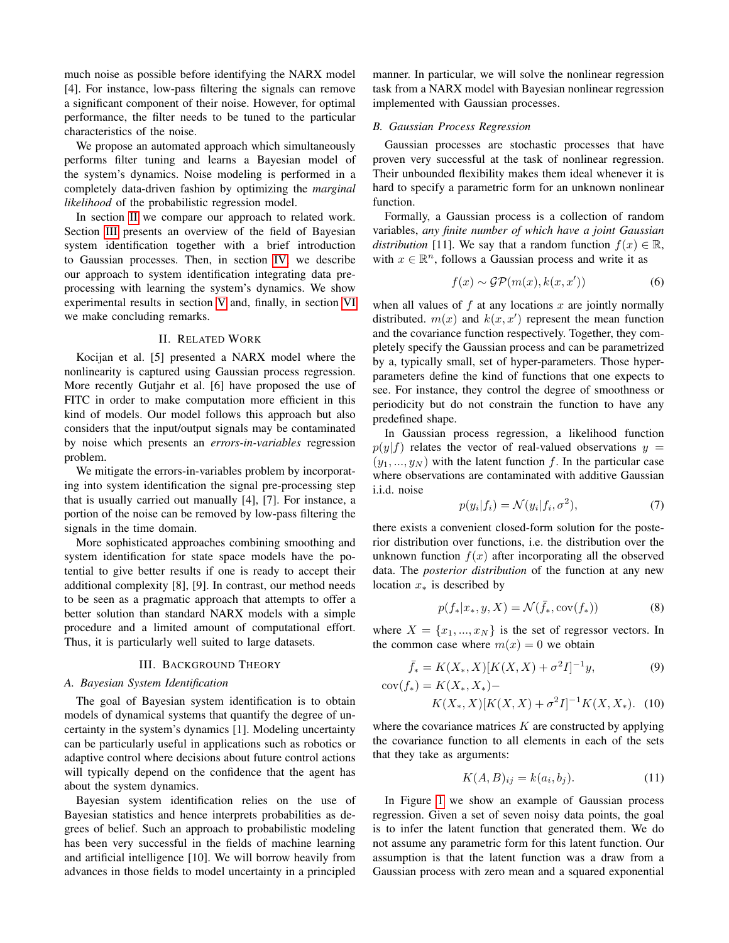much noise as possible before identifying the NARX model [4]. For instance, low-pass filtering the signals can remove a significant component of their noise. However, for optimal performance, the filter needs to be tuned to the particular characteristics of the noise.

We propose an automated approach which simultaneously performs filter tuning and learns a Bayesian model of the system's dynamics. Noise modeling is performed in a completely data-driven fashion by optimizing the *marginal likelihood* of the probabilistic regression model.

In section [II](#page-1-0) we compare our approach to related work. Section [III](#page-1-1) presents an overview of the field of Bayesian system identification together with a brief introduction to Gaussian processes. Then, in section [IV,](#page-3-0) we describe our approach to system identification integrating data preprocessing with learning the system's dynamics. We show experimental results in section [V](#page-4-0) and, finally, in section [VI](#page-5-0) we make concluding remarks.

## II. RELATED WORK

<span id="page-1-0"></span>Kocijan et al. [5] presented a NARX model where the nonlinearity is captured using Gaussian process regression. More recently Gutjahr et al. [6] have proposed the use of FITC in order to make computation more efficient in this kind of models. Our model follows this approach but also considers that the input/output signals may be contaminated by noise which presents an *errors-in-variables* regression problem.

We mitigate the errors-in-variables problem by incorporating into system identification the signal pre-processing step that is usually carried out manually [4], [7]. For instance, a portion of the noise can be removed by low-pass filtering the signals in the time domain.

More sophisticated approaches combining smoothing and system identification for state space models have the potential to give better results if one is ready to accept their additional complexity [8], [9]. In contrast, our method needs to be seen as a pragmatic approach that attempts to offer a better solution than standard NARX models with a simple procedure and a limited amount of computational effort. Thus, it is particularly well suited to large datasets.

#### III. BACKGROUND THEORY

# <span id="page-1-1"></span>*A. Bayesian System Identification*

The goal of Bayesian system identification is to obtain models of dynamical systems that quantify the degree of uncertainty in the system's dynamics [1]. Modeling uncertainty can be particularly useful in applications such as robotics or adaptive control where decisions about future control actions will typically depend on the confidence that the agent has about the system dynamics.

Bayesian system identification relies on the use of Bayesian statistics and hence interprets probabilities as degrees of belief. Such an approach to probabilistic modeling has been very successful in the fields of machine learning and artificial intelligence [10]. We will borrow heavily from advances in those fields to model uncertainty in a principled

manner. In particular, we will solve the nonlinear regression task from a NARX model with Bayesian nonlinear regression implemented with Gaussian processes.

# *B. Gaussian Process Regression*

Gaussian processes are stochastic processes that have proven very successful at the task of nonlinear regression. Their unbounded flexibility makes them ideal whenever it is hard to specify a parametric form for an unknown nonlinear function.

Formally, a Gaussian process is a collection of random variables, *any finite number of which have a joint Gaussian distribution* [11]. We say that a random function  $f(x) \in \mathbb{R}$ , with  $x \in \mathbb{R}^n$ , follows a Gaussian process and write it as

$$
f(x) \sim \mathcal{GP}(m(x), k(x, x')) \tag{6}
$$

when all values of  $f$  at any locations  $x$  are jointly normally distributed.  $m(x)$  and  $k(x, x')$  represent the mean function and the covariance function respectively. Together, they completely specify the Gaussian process and can be parametrized by a, typically small, set of hyper-parameters. Those hyperparameters define the kind of functions that one expects to see. For instance, they control the degree of smoothness or periodicity but do not constrain the function to have any predefined shape.

In Gaussian process regression, a likelihood function  $p(y|f)$  relates the vector of real-valued observations  $y =$  $(y_1, ..., y_N)$  with the latent function f. In the particular case where observations are contaminated with additive Gaussian i.i.d. noise

<span id="page-1-4"></span>
$$
p(y_i|f_i) = \mathcal{N}(y_i|f_i, \sigma^2),\tag{7}
$$

there exists a convenient closed-form solution for the posterior distribution over functions, i.e. the distribution over the unknown function  $f(x)$  after incorporating all the observed data. The *posterior distribution* of the function at any new location  $x<sub>*</sub>$  is described by

<span id="page-1-2"></span>
$$
p(f_*|x_*,y,X) = \mathcal{N}(\bar{f}_*, \text{cov}(f_*))
$$
\n(8)

where  $X = \{x_1, ..., x_N\}$  is the set of regressor vectors. In the common case where  $m(x) = 0$  we obtain

$$
\bar{f}_* = K(X_*, X)[K(X, X) + \sigma^2 I]^{-1}y,
$$
  
\n
$$
cov(f_*) = K(X_*, X_*) -
$$
\n(9)

$$
K(X_*, X)[K(X, X) + \sigma^2 I]^{-1}K(X, X_*). \quad (10)
$$

where the covariance matrices  $K$  are constructed by applying the covariance function to all elements in each of the sets that they take as arguments:

<span id="page-1-5"></span><span id="page-1-3"></span>
$$
K(A, B)_{ij} = k(a_i, b_j). \tag{11}
$$

In Figure [1](#page-2-0) we show an example of Gaussian process regression. Given a set of seven noisy data points, the goal is to infer the latent function that generated them. We do not assume any parametric form for this latent function. Our assumption is that the latent function was a draw from a Gaussian process with zero mean and a squared exponential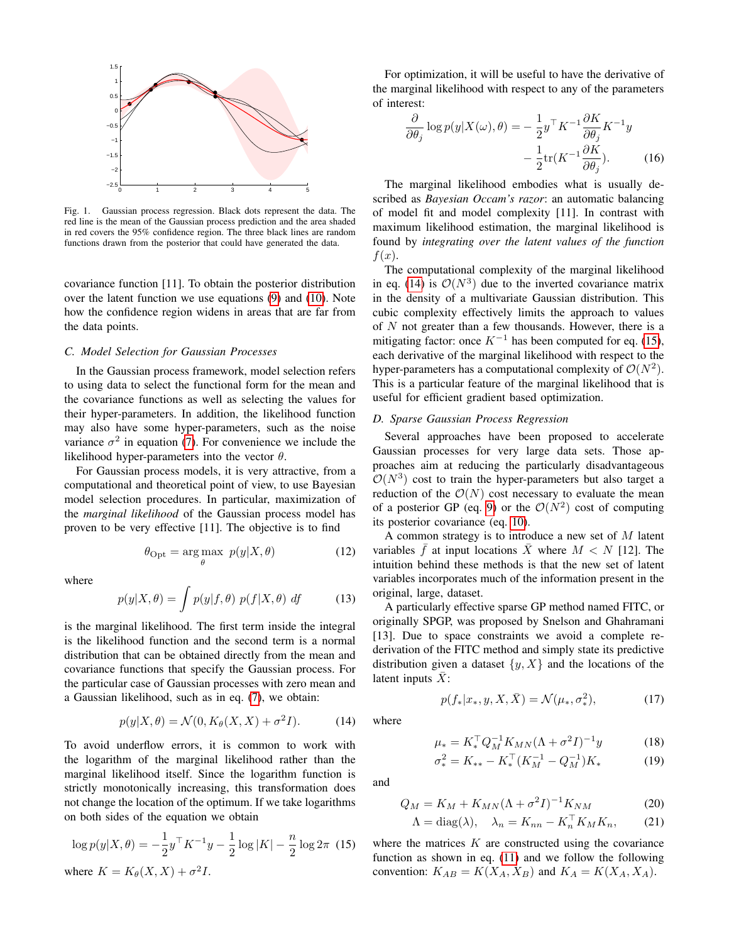

<span id="page-2-0"></span>Fig. 1. Gaussian process regression. Black dots represent the data. The red line is the mean of the Gaussian process prediction and the area shaded in red covers the 95% confidence region. The three black lines are random functions drawn from the posterior that could have generated the data.

covariance function [11]. To obtain the posterior distribution over the latent function we use equations [\(9\)](#page-1-2) and [\(10\)](#page-1-3). Note how the confidence region widens in areas that are far from the data points.

# <span id="page-2-3"></span>*C. Model Selection for Gaussian Processes*

In the Gaussian process framework, model selection refers to using data to select the functional form for the mean and the covariance functions as well as selecting the values for their hyper-parameters. In addition, the likelihood function may also have some hyper-parameters, such as the noise variance  $\sigma^2$  in equation [\(7\)](#page-1-4). For convenience we include the likelihood hyper-parameters into the vector  $\theta$ .

For Gaussian process models, it is very attractive, from a computational and theoretical point of view, to use Bayesian model selection procedures. In particular, maximization of the *marginal likelihood* of the Gaussian process model has proven to be very effective [11]. The objective is to find

$$
\theta_{\rm Opt} = \underset{\theta}{\arg\max} \ p(y|X,\theta) \tag{12}
$$

where

$$
p(y|X,\theta) = \int p(y|f,\theta) \ p(f|X,\theta) \ df \qquad (13)
$$

is the marginal likelihood. The first term inside the integral is the likelihood function and the second term is a normal distribution that can be obtained directly from the mean and covariance functions that specify the Gaussian process. For the particular case of Gaussian processes with zero mean and a Gaussian likelihood, such as in eq. [\(7\)](#page-1-4), we obtain:

<span id="page-2-1"></span>
$$
p(y|X,\theta) = \mathcal{N}(0, K_{\theta}(X,X) + \sigma^2 I). \tag{14}
$$

To avoid underflow errors, it is common to work with the logarithm of the marginal likelihood rather than the marginal likelihood itself. Since the logarithm function is strictly monotonically increasing, this transformation does not change the location of the optimum. If we take logarithms on both sides of the equation we obtain

<span id="page-2-2"></span>
$$
\log p(y|X,\theta) = -\frac{1}{2}y^{\top}K^{-1}y - \frac{1}{2}\log|K| - \frac{n}{2}\log 2\pi \quad (15)
$$
  
where  $K = K_{\theta}(X, X) + \sigma^2 I$ .

For optimization, it will be useful to have the derivative of the marginal likelihood with respect to any of the parameters of interest:

<span id="page-2-4"></span>
$$
\frac{\partial}{\partial \theta_j} \log p(y|X(\omega), \theta) = -\frac{1}{2} y^\top K^{-1} \frac{\partial K}{\partial \theta_j} K^{-1} y \n- \frac{1}{2} \text{tr}(K^{-1} \frac{\partial K}{\partial \theta_j}).
$$
\n(16)

The marginal likelihood embodies what is usually described as *Bayesian Occam's razor*: an automatic balancing of model fit and model complexity [11]. In contrast with maximum likelihood estimation, the marginal likelihood is found by *integrating over the latent values of the function*  $f(x)$ .

The computational complexity of the marginal likelihood in eq. [\(14\)](#page-2-1) is  $\mathcal{O}(N^3)$  due to the inverted covariance matrix in the density of a multivariate Gaussian distribution. This cubic complexity effectively limits the approach to values of  $N$  not greater than a few thousands. However, there is a mitigating factor: once  $K^{-1}$  has been computed for eq. [\(15\)](#page-2-2), each derivative of the marginal likelihood with respect to the hyper-parameters has a computational complexity of  $\mathcal{O}(N^2)$ . This is a particular feature of the marginal likelihood that is useful for efficient gradient based optimization.

# *D. Sparse Gaussian Process Regression*

Several approaches have been proposed to accelerate Gaussian processes for very large data sets. Those approaches aim at reducing the particularly disadvantageous  $\mathcal{O}(N^3)$  cost to train the hyper-parameters but also target a reduction of the  $\mathcal{O}(N)$  cost necessary to evaluate the mean of a posterior GP (eq. [9\)](#page-1-2) or the  $\mathcal{O}(N^2)$  cost of computing its posterior covariance (eq. [10\)](#page-1-3).

A common strategy is to introduce a new set of M latent variables  $\bar{f}$  at input locations  $\bar{X}$  where  $M < N$  [12]. The intuition behind these methods is that the new set of latent variables incorporates much of the information present in the original, large, dataset.

A particularly effective sparse GP method named FITC, or originally SPGP, was proposed by Snelson and Ghahramani [13]. Due to space constraints we avoid a complete rederivation of the FITC method and simply state its predictive distribution given a dataset  $\{y, X\}$  and the locations of the latent inputs  $X$ :

<span id="page-2-5"></span> $p(f_*|x_*,y,X,\bar{X}) = \mathcal{N}(\mu_*,\sigma_*^2)$ 

$$
= K^{\top} O_{2}^{-1} K_{MN} (\Lambda + \sigma^{2} I)^{-1} u \tag{18}
$$

<span id="page-2-7"></span><span id="page-2-6"></span> $(17)$ 

$$
\mu_{*} = K_{*}^{\top} Q_{M}^{-1} K_{MN} (\Lambda + \sigma^{2} I)^{-1} y \qquad (18)
$$
  
\n
$$
\sigma_{*}^{2} = K_{**} - K_{*}^{\top} (K_{M}^{-1} - Q_{M}^{-1}) K_{*} \qquad (19)
$$

and

where

$$
Q_M = K_M + K_{MN} (\Lambda + \sigma^2 I)^{-1} K_{NM}
$$
 (20)

$$
\Lambda = \text{diag}(\lambda), \quad \lambda_n = K_{nn} - K_n^\top K_M K_n, \qquad (21)
$$

where the matrices  $K$  are constructed using the covariance function as shown in eq. [\(11\)](#page-1-5) and we follow the following convention:  $K_{AB} = K(X_A, X_B)$  and  $K_A = K(X_A, X_A)$ .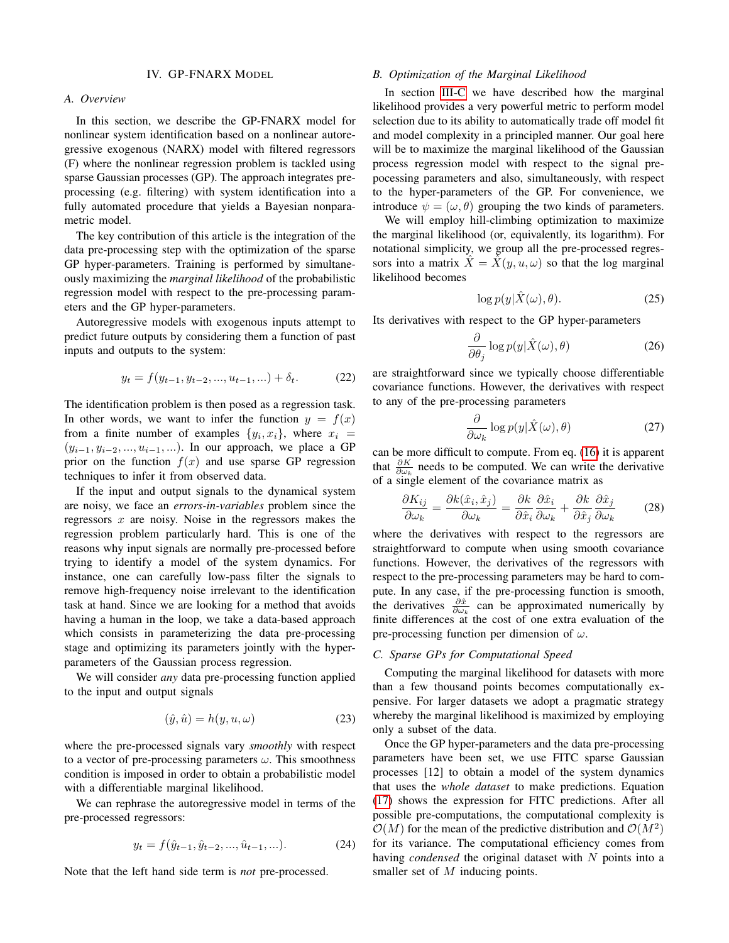#### IV. GP-FNARX MODEL

# <span id="page-3-0"></span>*A. Overview*

In this section, we describe the GP-FNARX model for nonlinear system identification based on a nonlinear autoregressive exogenous (NARX) model with filtered regressors (F) where the nonlinear regression problem is tackled using sparse Gaussian processes (GP). The approach integrates preprocessing (e.g. filtering) with system identification into a fully automated procedure that yields a Bayesian nonparametric model.

The key contribution of this article is the integration of the data pre-processing step with the optimization of the sparse GP hyper-parameters. Training is performed by simultaneously maximizing the *marginal likelihood* of the probabilistic regression model with respect to the pre-processing parameters and the GP hyper-parameters.

Autoregressive models with exogenous inputs attempt to predict future outputs by considering them a function of past inputs and outputs to the system:

$$
y_t = f(y_{t-1}, y_{t-2}, ..., u_{t-1}, ...) + \delta_t.
$$
 (22)

The identification problem is then posed as a regression task. In other words, we want to infer the function  $y = f(x)$ from a finite number of examples  $\{y_i, x_i\}$ , where  $x_i$  =  $(y_{i-1}, y_{i-2}, ..., u_{i-1}, ...)$ . In our approach, we place a GP prior on the function  $f(x)$  and use sparse GP regression techniques to infer it from observed data.

If the input and output signals to the dynamical system are noisy, we face an *errors-in-variables* problem since the regressors  $x$  are noisy. Noise in the regressors makes the regression problem particularly hard. This is one of the reasons why input signals are normally pre-processed before trying to identify a model of the system dynamics. For instance, one can carefully low-pass filter the signals to remove high-frequency noise irrelevant to the identification task at hand. Since we are looking for a method that avoids having a human in the loop, we take a data-based approach which consists in parameterizing the data pre-processing stage and optimizing its parameters jointly with the hyperparameters of the Gaussian process regression.

We will consider *any* data pre-processing function applied to the input and output signals

$$
(\hat{y}, \hat{u}) = h(y, u, \omega) \tag{23}
$$

where the pre-processed signals vary *smoothly* with respect to a vector of pre-processing parameters  $\omega$ . This smoothness condition is imposed in order to obtain a probabilistic model with a differentiable marginal likelihood.

We can rephrase the autoregressive model in terms of the pre-processed regressors:

$$
y_t = f(\hat{y}_{t-1}, \hat{y}_{t-2}, \dots, \hat{u}_{t-1}, \dots). \tag{24}
$$

Note that the left hand side term is *not* pre-processed.

#### *B. Optimization of the Marginal Likelihood*

In section [III-C](#page-2-3) we have described how the marginal likelihood provides a very powerful metric to perform model selection due to its ability to automatically trade off model fit and model complexity in a principled manner. Our goal here will be to maximize the marginal likelihood of the Gaussian process regression model with respect to the signal prepocessing parameters and also, simultaneously, with respect to the hyper-parameters of the GP. For convenience, we introduce  $\psi = (\omega, \theta)$  grouping the two kinds of parameters.

We will employ hill-climbing optimization to maximize the marginal likelihood (or, equivalently, its logarithm). For notational simplicity, we group all the pre-processed regressors into a matrix  $\hat{X} = \hat{X}(y, u, \omega)$  so that the log marginal likelihood becomes

$$
\log p(y|\hat{X}(\omega),\theta). \tag{25}
$$

Its derivatives with respect to the GP hyper-parameters

$$
\frac{\partial}{\partial \theta_j} \log p(y|\hat{X}(\omega), \theta) \tag{26}
$$

are straightforward since we typically choose differentiable covariance functions. However, the derivatives with respect to any of the pre-processing parameters

$$
\frac{\partial}{\partial \omega_k} \log p(y|\hat{X}(\omega), \theta) \tag{27}
$$

can be more difficult to compute. From eq. [\(16\)](#page-2-4) it is apparent that  $\frac{\partial K}{\partial \omega_k}$  needs to be computed. We can write the derivative of a single element of the covariance matrix as

$$
\frac{\partial K_{ij}}{\partial \omega_k} = \frac{\partial k(\hat{x}_i, \hat{x}_j)}{\partial \omega_k} = \frac{\partial k}{\partial \hat{x}_i} \frac{\partial \hat{x}_i}{\partial \omega_k} + \frac{\partial k}{\partial \hat{x}_j} \frac{\partial \hat{x}_j}{\partial \omega_k} \tag{28}
$$

where the derivatives with respect to the regressors are straightforward to compute when using smooth covariance functions. However, the derivatives of the regressors with respect to the pre-processing parameters may be hard to compute. In any case, if the pre-processing function is smooth, the derivatives  $\frac{\partial \hat{x}}{\partial \omega_k}$  can be approximated numerically by finite differences at the cost of one extra evaluation of the pre-processing function per dimension of  $\omega$ .

## *C. Sparse GPs for Computational Speed*

Computing the marginal likelihood for datasets with more than a few thousand points becomes computationally expensive. For larger datasets we adopt a pragmatic strategy whereby the marginal likelihood is maximized by employing only a subset of the data.

Once the GP hyper-parameters and the data pre-processing parameters have been set, we use FITC sparse Gaussian processes [12] to obtain a model of the system dynamics that uses the *whole dataset* to make predictions. Equation [\(17\)](#page-2-5) shows the expression for FITC predictions. After all possible pre-computations, the computational complexity is  $\mathcal{O}(M)$  for the mean of the predictive distribution and  $\mathcal{O}(M^2)$ for its variance. The computational efficiency comes from having *condensed* the original dataset with N points into a smaller set of M inducing points.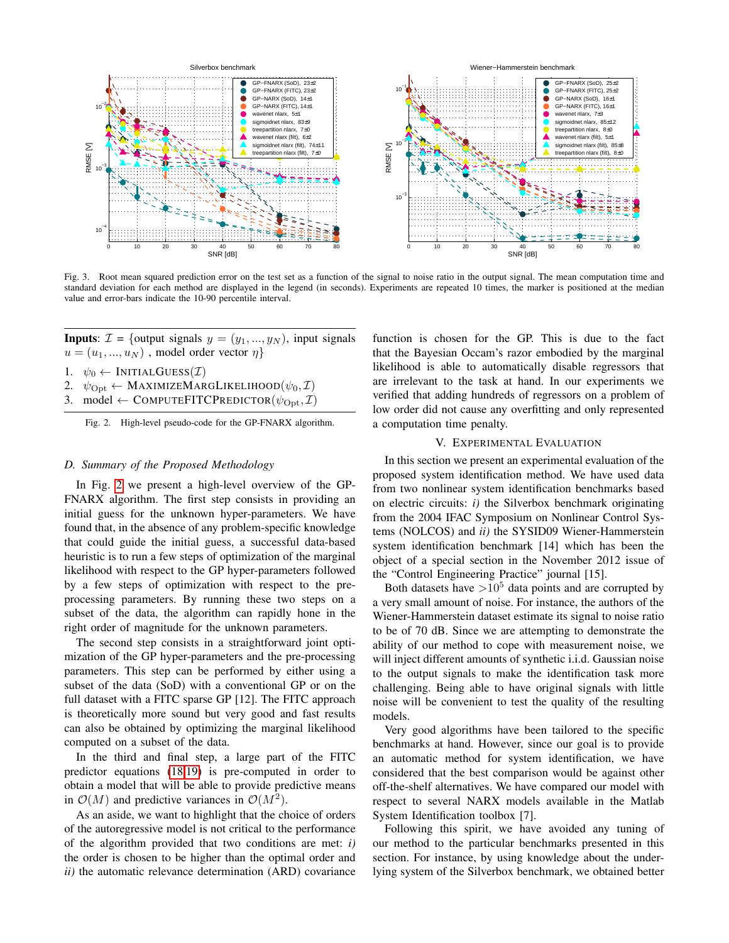

<span id="page-4-2"></span>Fig. 3. Root mean squared prediction error on the test set as a function of the signal to noise ratio in the output signal. The mean computation time and standard deviation for each method are displayed in the legend (in seconds). Experiments are repeated 10 times, the marker is positioned at the median value and error-bars indicate the 10-90 percentile interval.

**Inputs:**  $\mathcal{I} = \{\text{output signals } y = (y_1, ..., y_N)\},\$ input signals  $u = (u_1, ..., u_N)$ , model order vector  $\eta$ 

1.  $\psi_0 \leftarrow \text{INITIALGUES}(\mathcal{I})$ 

- 2.  $\psi_{\text{Opt}} \leftarrow \text{MAXIMIZEMARGLIKELIHOOD}(\psi_0, \mathcal{I})$
- 3. model  $\leftarrow$  COMPUTEFITCPREDICTOR $(\psi_{\text{Opt}}, \mathcal{I})$

<span id="page-4-1"></span>Fig. 2. High-level pseudo-code for the GP-FNARX algorithm.

# *D. Summary of the Proposed Methodology*

In Fig. [2](#page-4-1) we present a high-level overview of the GP-FNARX algorithm. The first step consists in providing an initial guess for the unknown hyper-parameters. We have found that, in the absence of any problem-specific knowledge that could guide the initial guess, a successful data-based heuristic is to run a few steps of optimization of the marginal likelihood with respect to the GP hyper-parameters followed by a few steps of optimization with respect to the preprocessing parameters. By running these two steps on a subset of the data, the algorithm can rapidly hone in the right order of magnitude for the unknown parameters.

The second step consists in a straightforward joint optimization of the GP hyper-parameters and the pre-processing parameters. This step can be performed by either using a subset of the data (SoD) with a conventional GP or on the full dataset with a FITC sparse GP [12]. The FITC approach is theoretically more sound but very good and fast results can also be obtained by optimizing the marginal likelihood computed on a subset of the data.

In the third and final step, a large part of the FITC predictor equations [\(18,](#page-2-6)[19\)](#page-2-7) is pre-computed in order to obtain a model that will be able to provide predictive means in  $\mathcal{O}(M)$  and predictive variances in  $\mathcal{O}(M^2)$ .

As an aside, we want to highlight that the choice of orders of the autoregressive model is not critical to the performance of the algorithm provided that two conditions are met: *i)* the order is chosen to be higher than the optimal order and *ii)* the automatic relevance determination (ARD) covariance function is chosen for the GP. This is due to the fact that the Bayesian Occam's razor embodied by the marginal likelihood is able to automatically disable regressors that are irrelevant to the task at hand. In our experiments we verified that adding hundreds of regressors on a problem of low order did not cause any overfitting and only represented a computation time penalty.

#### V. EXPERIMENTAL EVALUATION

<span id="page-4-0"></span>In this section we present an experimental evaluation of the proposed system identification method. We have used data from two nonlinear system identification benchmarks based on electric circuits: *i)* the Silverbox benchmark originating from the 2004 IFAC Symposium on Nonlinear Control Systems (NOLCOS) and *ii)* the SYSID09 Wiener-Hammerstein system identification benchmark [14] which has been the object of a special section in the November 2012 issue of the "Control Engineering Practice" journal [15].

Both datasets have  $>10^5$  data points and are corrupted by a very small amount of noise. For instance, the authors of the Wiener-Hammerstein dataset estimate its signal to noise ratio to be of 70 dB. Since we are attempting to demonstrate the ability of our method to cope with measurement noise, we will inject different amounts of synthetic i.i.d. Gaussian noise to the output signals to make the identification task more challenging. Being able to have original signals with little noise will be convenient to test the quality of the resulting models.

Very good algorithms have been tailored to the specific benchmarks at hand. However, since our goal is to provide an automatic method for system identification, we have considered that the best comparison would be against other off-the-shelf alternatives. We have compared our model with respect to several NARX models available in the Matlab System Identification toolbox [7].

Following this spirit, we have avoided any tuning of our method to the particular benchmarks presented in this section. For instance, by using knowledge about the underlying system of the Silverbox benchmark, we obtained better